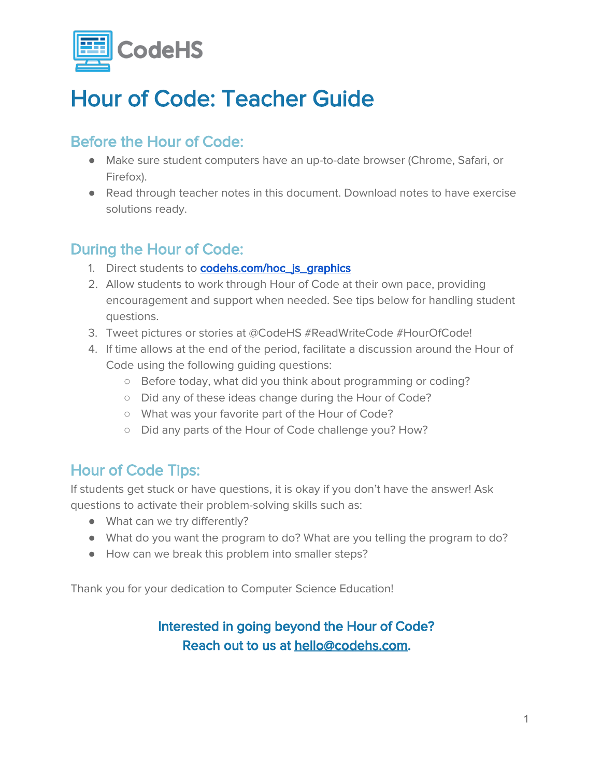

## Hour of Code: Teacher Guide

### Before the Hour of Code:

- Make sure student computers have an up-to-date browser (Chrome, Safari, or Firefox).
- Read through teacher notes in this document. Download notes to have exercise solutions ready.

### During the Hour of Code:

- 1. Direct students to **codehs.com/hoc\_js\_graphics**
- 2. Allow students to work through Hour of Code at their own pace, providing encouragement and support when needed. See tips below for handling student questions.
- 3. Tweet pictures or stories at @CodeHS #ReadWriteCode #HourOfCode!
- 4. If time allows at the end of the period, facilitate a discussion around the Hour of Code using the following guiding questions:
	- Before today, what did you think about programming or coding?
	- Did any of these ideas change during the Hour of Code?
	- What was your favorite part of the Hour of Code?
	- Did any parts of the Hour of Code challenge you? How?

#### Hour of Code Tips:

If students get stuck or have questions, it is okay if you don't have the answer! Ask questions to activate their problem-solving skills such as:

- What can we try differently?
- What do you want the program to do? What are you telling the program to do?
- How can we break this problem into smaller steps?

Thank you for your dedication to Computer Science Education!

#### Interested in going beyond the Hour of Code? Reach out to us at [hello@codehs.com](mailto:hello@codehs.com).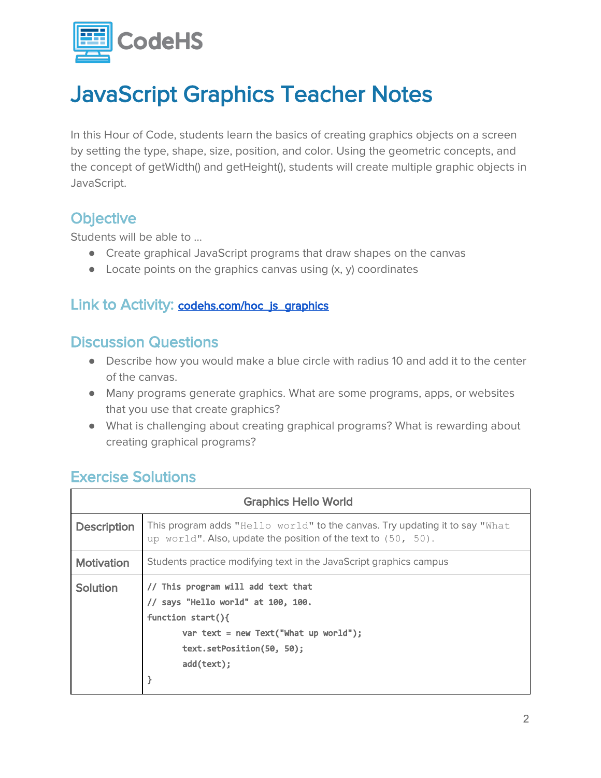

## JavaScript Graphics Teacher Notes

In this Hour of Code, students learn the basics of creating graphics objects on a screen by setting the type, shape, size, position, and color. Using the geometric concepts, and the concept of getWidth() and getHeight(), students will create multiple graphic objects in JavaScript.

#### **Objective**

Students will be able to …

- Create graphical JavaScript programs that draw shapes on the canvas
- $\bullet$  Locate points on the graphics canvas using  $(x, y)$  coordinates

#### Link to Activity: [codehs.com/hoc\\_js\\_graphics](http://codehs.com/hoc_js_graphics)

#### Discussion Questions

- Describe how you would make a blue circle with radius 10 and add it to the center of the canvas.
- Many programs generate graphics. What are some programs, apps, or websites that you use that create graphics?
- What is challenging about creating graphical programs? What is rewarding about creating graphical programs?

#### Exercise Solutions

| <b>Graphics Hello World</b> |                                                                                                                                                                                       |  |
|-----------------------------|---------------------------------------------------------------------------------------------------------------------------------------------------------------------------------------|--|
| <b>Description</b>          | This program adds "Hello world" to the canvas. Try updating it to say "What<br>up world". Also, update the position of the text to (50, 50).                                          |  |
| <b>Motivation</b>           | Students practice modifying text in the JavaScript graphics campus                                                                                                                    |  |
| Solution                    | // This program will add text that<br>// says "Hello world" at 100, 100.<br>function $start()$<br>var text = new Text("What up world");<br>text.setPosition(50, 50);<br>$add(text)$ ; |  |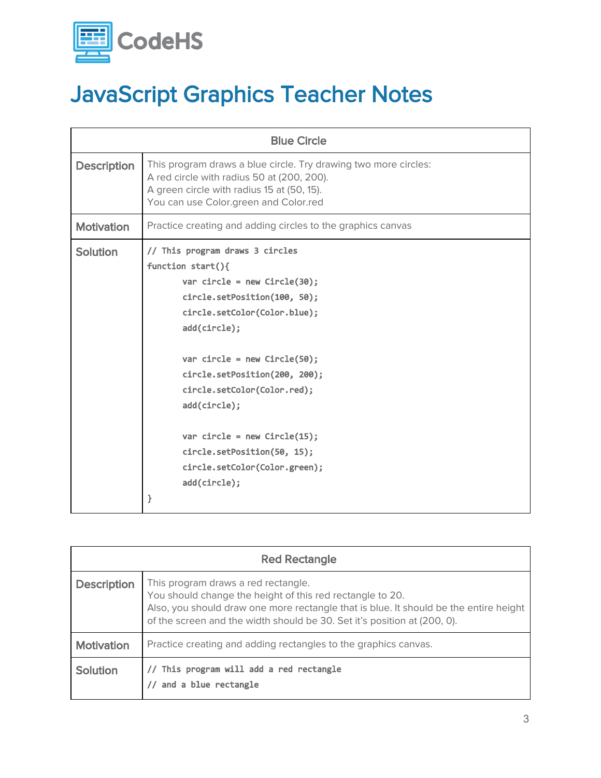

# JavaScript Graphics Teacher Notes

| <b>Blue Circle</b> |                                                                                                                                                                                                                                                                                                                                                                                                                       |  |
|--------------------|-----------------------------------------------------------------------------------------------------------------------------------------------------------------------------------------------------------------------------------------------------------------------------------------------------------------------------------------------------------------------------------------------------------------------|--|
| <b>Description</b> | This program draws a blue circle. Try drawing two more circles:<br>A red circle with radius 50 at (200, 200).<br>A green circle with radius 15 at (50, 15).<br>You can use Color.green and Color.red                                                                                                                                                                                                                  |  |
| <b>Motivation</b>  | Practice creating and adding circles to the graphics canvas                                                                                                                                                                                                                                                                                                                                                           |  |
| Solution           | // This program draws 3 circles<br>function $start()$<br>var circle = new Circle $(30)$ ;<br>circle.setPosition(100, 50);<br>circle.setColor(Color.blue);<br>add(circle);<br>var circle = new Circle $(50)$ ;<br>circle.setPosition(200, 200);<br>circle.setColor(Color.red);<br>add(circle);<br>var circle = new $Circle(15)$ ;<br>circle.setPosition(50, 15);<br>circle.setColor(Color.green);<br>add(circle);<br>} |  |

| <b>Red Rectangle</b> |                                                                                                                                                                                                                                                                       |  |
|----------------------|-----------------------------------------------------------------------------------------------------------------------------------------------------------------------------------------------------------------------------------------------------------------------|--|
| <b>Description</b>   | This program draws a red rectangle.<br>You should change the height of this red rectangle to 20.<br>Also, you should draw one more rectangle that is blue. It should be the entire height<br>of the screen and the width should be 30. Set it's position at (200, 0). |  |
| <b>Motivation</b>    | Practice creating and adding rectangles to the graphics canvas.                                                                                                                                                                                                       |  |
| <b>Solution</b>      | // This program will add a red rectangle<br>and a blue rectangle                                                                                                                                                                                                      |  |